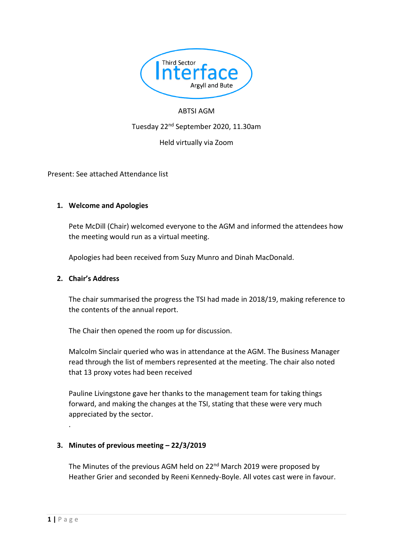

## ABTSI AGM

Tuesday 22nd September 2020, 11.30am

Held virtually via Zoom

Present: See attached Attendance list

### **1. Welcome and Apologies**

Pete McDill (Chair) welcomed everyone to the AGM and informed the attendees how the meeting would run as a virtual meeting.

Apologies had been received from Suzy Munro and Dinah MacDonald.

#### **2. Chair's Address**

The chair summarised the progress the TSI had made in 2018/19, making reference to the contents of the annual report.

The Chair then opened the room up for discussion.

Malcolm Sinclair queried who was in attendance at the AGM. The Business Manager read through the list of members represented at the meeting. The chair also noted that 13 proxy votes had been received

Pauline Livingstone gave her thanks to the management team for taking things forward, and making the changes at the TSI, stating that these were very much appreciated by the sector.

## **3. Minutes of previous meeting – 22/3/2019**

The Minutes of the previous AGM held on 22<sup>nd</sup> March 2019 were proposed by Heather Grier and seconded by Reeni Kennedy-Boyle. All votes cast were in favour.

.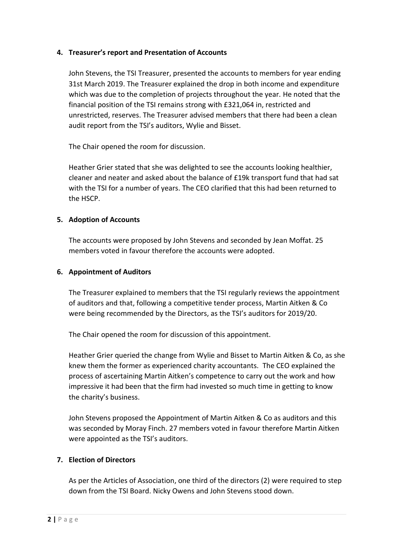## **4. Treasurer's report and Presentation of Accounts**

John Stevens, the TSI Treasurer, presented the accounts to members for year ending 31st March 2019. The Treasurer explained the drop in both income and expenditure which was due to the completion of projects throughout the year. He noted that the financial position of the TSI remains strong with £321,064 in, restricted and unrestricted, reserves. The Treasurer advised members that there had been a clean audit report from the TSI's auditors, Wylie and Bisset.

The Chair opened the room for discussion.

Heather Grier stated that she was delighted to see the accounts looking healthier, cleaner and neater and asked about the balance of £19k transport fund that had sat with the TSI for a number of years. The CEO clarified that this had been returned to the HSCP.

### **5. Adoption of Accounts**

The accounts were proposed by John Stevens and seconded by Jean Moffat. 25 members voted in favour therefore the accounts were adopted.

#### **6. Appointment of Auditors**

The Treasurer explained to members that the TSI regularly reviews the appointment of auditors and that, following a competitive tender process, Martin Aitken & Co were being recommended by the Directors, as the TSI's auditors for 2019/20.

The Chair opened the room for discussion of this appointment.

Heather Grier queried the change from Wylie and Bisset to Martin Aitken & Co, as she knew them the former as experienced charity accountants. The CEO explained the process of ascertaining Martin Aitken's competence to carry out the work and how impressive it had been that the firm had invested so much time in getting to know the charity's business.

John Stevens proposed the Appointment of Martin Aitken & Co as auditors and this was seconded by Moray Finch. 27 members voted in favour therefore Martin Aitken were appointed as the TSI's auditors.

## **7. Election of Directors**

As per the Articles of Association, one third of the directors (2) were required to step down from the TSI Board. Nicky Owens and John Stevens stood down.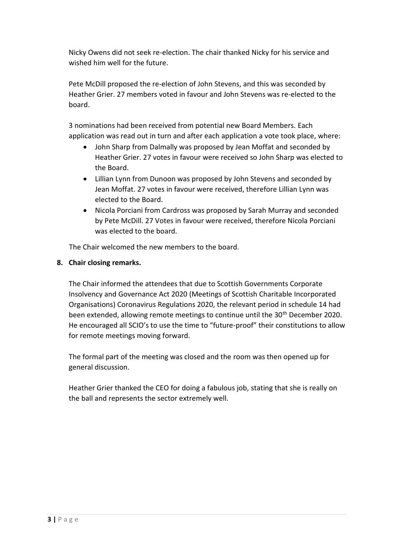Nicky Owens did not seek re-election. The chair thanked Nicky for his service and wished him well for the future.

Pete McDill proposed the re-election of John Stevens, and this was seconded by Heather Grier. 27 members voted in favour and John Stevens was re-elected to the board.

3 nominations had been received from potential new Board Members. Each application was read out in turn and after each application a vote took place, where:

- John Sharp from Dalmally was proposed by Jean Moffat and seconded by Heather Grier. 27 votes in favour were received so John Sharp was elected to the Board.
- Lillian Lynn from Dunoon was proposed by John Stevens and seconded by Jean Moffat. 27 votes in favour were received, therefore Lillian Lynn was elected to the Board.
- Nicola Porciani from Cardross was proposed by Sarah Murray and seconded by Pete McDill. 27 Votes in favour were received, therefore Nicola Porciani was elected to the board.

The Chair welcomed the new members to the board.

# **8. Chair closing remarks.**

The Chair informed the attendees that due to Scottish Governments Corporate Insolvency and Governance Act 2020 (Meetings of Scottish Charitable Incorporated Organisations) Coronavirus Regulations 2020, the relevant period in schedule 14 had been extended, allowing remote meetings to continue until the 30th December 2020. He encouraged all SCIO's to use the time to "future-proof" their constitutions to allow for remote meetings moving forward.

The formal part of the meeting was closed and the room was then opened up for general discussion.

Heather Grier thanked the CEO for doing a fabulous job, stating that she is really on the ball and represents the sector extremely well.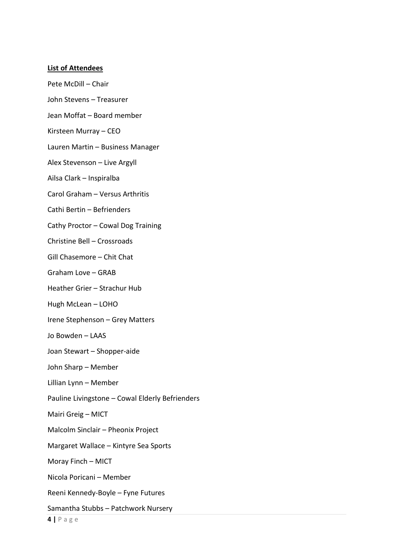#### **List of Attendees**

Pete McDill – Chair

John Stevens – Treasurer

Jean Moffat – Board member

Kirsteen Murray – CEO

Lauren Martin – Business Manager

Alex Stevenson – Live Argyll

Ailsa Clark – Inspiralba

Carol Graham – Versus Arthritis

Cathi Bertin – Befrienders

Cathy Proctor – Cowal Dog Training

Christine Bell – Crossroads

Gill Chasemore – Chit Chat

Graham Love – GRAB

Heather Grier – Strachur Hub

Hugh McLean – LOHO

Irene Stephenson – Grey Matters

Jo Bowden – LAAS

Joan Stewart – Shopper-aide

John Sharp – Member

Lillian Lynn – Member

Pauline Livingstone – Cowal Elderly Befrienders

Mairi Greig – MICT

Malcolm Sinclair – Pheonix Project

Margaret Wallace – Kintyre Sea Sports

Moray Finch – MICT

Nicola Poricani – Member

Reeni Kennedy-Boyle – Fyne Futures

Samantha Stubbs – Patchwork Nursery